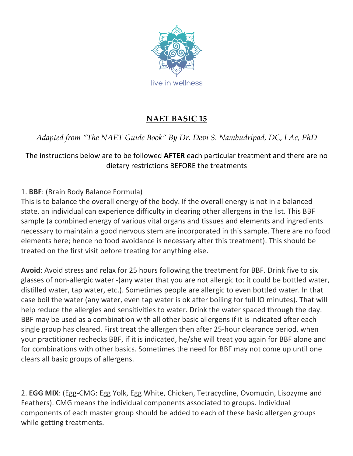

# **NAET BASIC 15**

# *Adapted from "The NAET Guide Book" By Dr. Devi S. Nambudripad, DC, LAc, PhD*

## The instructions below are to be followed **AFTER** each particular treatment and there are no dietary restrictions BEFORE the treatments

## 1. **BBF**: (Brain Body Balance Formula)

This is to balance the overall energy of the body. If the overall energy is not in a balanced state, an individual can experience difficulty in clearing other allergens in the list. This BBF sample (a combined energy of various vital organs and tissues and elements and ingredients necessary to maintain a good nervous stem are incorporated in this sample. There are no food elements here; hence no food avoidance is necessary after this treatment). This should be treated on the first visit before treating for anything else.

Avoid: Avoid stress and relax for 25 hours following the treatment for BBF. Drink five to six glasses of non-allergic water -(any water that you are not allergic to: it could be bottled water, distilled water, tap water, etc.). Sometimes people are allergic to even bottled water. In that case boil the water (any water, even tap water is ok after boiling for full IO minutes). That will help reduce the allergies and sensitivities to water. Drink the water spaced through the day. BBF may be used as a combination with all other basic allergens if it is indicated after each single group has cleared. First treat the allergen then after 25-hour clearance period, when your practitioner rechecks BBF, if it is indicated, he/she will treat you again for BBF alone and for combinations with other basics. Sometimes the need for BBF may not come up until one clears all basic groups of allergens.

2. **EGG MIX**: (Egg-CMG: Egg Yolk, Egg White, Chicken, Tetracycline, Ovomucin, Lisozyme and Feathers). CMG means the individual components associated to groups. Individual components of each master group should be added to each of these basic allergen groups while getting treatments.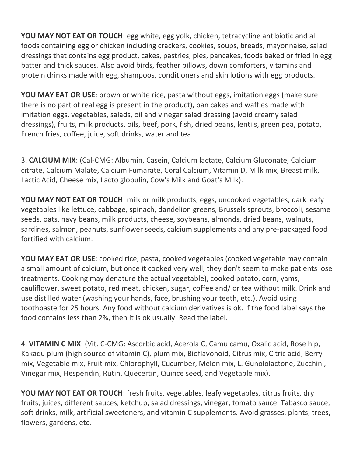**YOU MAY NOT EAT OR TOUCH:** egg white, egg yolk, chicken, tetracycline antibiotic and all foods containing egg or chicken including crackers, cookies, soups, breads, mayonnaise, salad dressings that contains egg product, cakes, pastries, pies, pancakes, foods baked or fried in egg batter and thick sauces. Also avoid birds, feather pillows, down comforters, vitamins and protein drinks made with egg, shampoos, conditioners and skin lotions with egg products.

**YOU MAY EAT OR USE:** brown or white rice, pasta without eggs, imitation eggs (make sure there is no part of real egg is present in the product), pan cakes and waffles made with imitation eggs, vegetables, salads, oil and vinegar salad dressing (avoid creamy salad dressings), fruits, milk products, oils, beef, pork, fish, dried beans, lentils, green pea, potato, French fries, coffee, juice, soft drinks, water and tea.

3. **CALCIUM MIX**: (Cal-CMG: Albumin, Casein, Calcium lactate, Calcium Gluconate, Calcium citrate, Calcium Malate, Calcium Fumarate, Coral Calcium, Vitamin D, Milk mix, Breast milk, Lactic Acid, Cheese mix, Lacto globulin, Cow's Milk and Goat's Milk).

**YOU MAY NOT EAT OR TOUCH:** milk or milk products, eggs, uncooked vegetables, dark leafy vegetables like lettuce, cabbage, spinach, dandelion greens, Brussels sprouts, broccoli, sesame seeds, oats, navy beans, milk products, cheese, soybeans, almonds, dried beans, walnuts, sardines, salmon, peanuts, sunflower seeds, calcium supplements and any pre-packaged food fortified with calcium.

**YOU MAY EAT OR USE:** cooked rice, pasta, cooked vegetables (cooked vegetable may contain a small amount of calcium, but once it cooked very well, they don't seem to make patients lose treatments. Cooking may denature the actual vegetable), cooked potato, corn, yams, cauliflower, sweet potato, red meat, chicken, sugar, coffee and/ or tea without milk. Drink and use distilled water (washing your hands, face, brushing your teeth, etc.). Avoid using toothpaste for 25 hours. Any food without calcium derivatives is ok. If the food label says the food contains less than 2%, then it is ok usually. Read the label.

4. **VITAMIN C MIX**: (Vit. C-CMG: Ascorbic acid, Acerola C, Camu camu, Oxalic acid, Rose hip, Kakadu plum (high source of vitamin C), plum mix, Bioflavonoid, Citrus mix, Citric acid, Berry mix, Vegetable mix, Fruit mix, Chlorophyll, Cucumber, Melon mix, L. Gunololactone, Zucchini, Vinegar mix, Hesperidin, Rutin, Quecertin, Quince seed, and Vegetable mix).

**YOU MAY NOT EAT OR TOUCH:** fresh fruits, vegetables, leafy vegetables, citrus fruits, dry fruits, juices, different sauces, ketchup, salad dressings, vinegar, tomato sauce, Tabasco sauce, soft drinks, milk, artificial sweeteners, and vitamin C supplements. Avoid grasses, plants, trees, flowers, gardens, etc.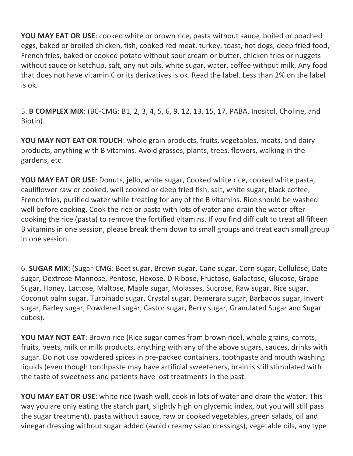**YOU MAY EAT OR USE:** cooked white or brown rice, pasta without sauce, boiled or poached eggs, baked or broiled chicken, fish, cooked red meat, turkey, toast, hot dogs, deep fried food, French fries, baked or cooked potato without sour cream or butter, chicken fries or nuggets without sauce or ketchup, salt, any nut oils, white sugar, water, coffee without milk. Any food that does not have vitamin C or its derivatives is ok. Read the label. Less than 2% on the label is ok.

5. **B COMPLEX MIX**: (BC-CMG: B1, 2, 3, 4, 5, 6, 9, 12, 13, 15, 17, PABA, Inositol, Choline, and Biotin).

**YOU MAY NOT EAT OR TOUCH:** whole grain products, fruits, vegetables, meats, and dairy products, anything with B vitamins. Avoid grasses, plants, trees, flowers, walking in the gardens, etc.

**YOU MAY EAT OR USE:** Donuts, jello, white sugar, Cooked white rice, cooked white pasta, cauliflower raw or cooked, well cooked or deep fried fish, salt, white sugar, black coffee, French fries, purified water while treating for any of the B vitamins. Rice should be washed well before cooking. Cook the rice or pasta with lots of water and drain the water after cooking the rice (pasta) to remove the fortified vitamins. If you find difficult to treat all fifteen B vitamins in one session, please break them down to small groups and treat each small group in one session.

6. **SUGAR MIX**: (Sugar-CMG: Beet sugar, Brown sugar, Cane sugar, Corn sugar, Cellulose, Date sugar, Dextrose-Mannose, Pentose, Hexose, D-Ribose, Fructose, Galactose, Glucose, Grape Sugar, Honey, Lactose, Maltose, Maple sugar, Molasses, Sucrose, Raw sugar, Rice sugar, Coconut palm sugar, Turbinado sugar, Crystal sugar, Demerara sugar, Barbados sugar, Invert sugar, Barley sugar, Powdered sugar, Castor sugar, Berry sugar, Granulated Sugar and Sugar cubes).

**YOU MAY NOT EAT:** Brown rice (Rice sugar comes from brown rice), whole grains, carrots, fruits, beets, milk or milk products, anything with any of the above sugars, sauces, drinks with sugar. Do not use powdered spices in pre-packed containers, toothpaste and mouth washing liquids (even though toothpaste may have artificial sweeteners, brain is still stimulated with the taste of sweetness and patients have lost treatments in the past.

**YOU MAY EAT OR USE:** white rice (wash well, cook in lots of water and drain the water. This way you are only eating the starch part, slightly high on glycemic index, but you will still pass the sugar treatment), pasta without sauce, raw or cooked vegetables, green salads, oil and vinegar dressing without sugar added (avoid creamy salad dressings), vegetable oils, any type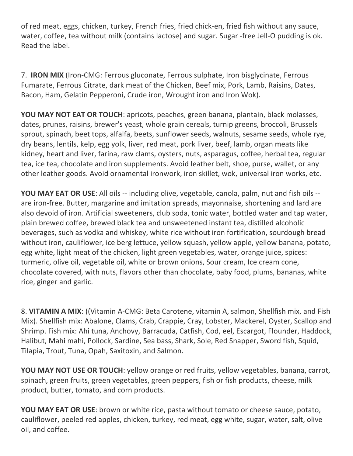of red meat, eggs, chicken, turkey, French fries, fried chick-en, fried fish without any sauce, water, coffee, tea without milk (contains lactose) and sugar. Sugar -free Jell-O pudding is ok. Read the label.

7. **IRON MIX** (Iron-CMG: Ferrous gluconate, Ferrous sulphate, Iron bisglycinate, Ferrous Fumarate, Ferrous Citrate, dark meat of the Chicken, Beef mix, Pork, Lamb, Raisins, Dates, Bacon, Ham, Gelatin Pepperoni, Crude iron, Wrought iron and Iron Wok).

**YOU MAY NOT EAT OR TOUCH:** apricots, peaches, green banana, plantain, black molasses, dates, prunes, raisins, brewer's yeast, whole grain cereals, turnip greens, broccoli, Brussels sprout, spinach, beet tops, alfalfa, beets, sunflower seeds, walnuts, sesame seeds, whole rye, dry beans, lentils, kelp, egg yolk, liver, red meat, pork liver, beef, lamb, organ meats like kidney, heart and liver, farina, raw clams, oysters, nuts, asparagus, coffee, herbal tea, regular tea, ice tea, chocolate and iron supplements. Avoid leather belt, shoe, purse, wallet, or any other leather goods. Avoid ornamental ironwork, iron skillet, wok, universal iron works, etc.

**YOU MAY EAT OR USE:** All oils -- including olive, vegetable, canola, palm, nut and fish oils -are iron-free. Butter, margarine and imitation spreads, mayonnaise, shortening and lard are also devoid of iron. Artificial sweeteners, club soda, tonic water, bottled water and tap water, plain brewed coffee, brewed black tea and unsweetened instant tea, distilled alcoholic beverages, such as vodka and whiskey, white rice without iron fortification, sourdough bread without iron, cauliflower, ice berg lettuce, yellow squash, yellow apple, yellow banana, potato, egg white, light meat of the chicken, light green vegetables, water, orange juice, spices: turmeric, olive oil, vegetable oil, white or brown onions, Sour cream, Ice cream cone, chocolate covered, with nuts, flavors other than chocolate, baby food, plums, bananas, white rice, ginger and garlic.

8. VITAMIN A MIX: ((Vitamin A-CMG: Beta Carotene, vitamin A, salmon, Shellfish mix, and Fish Mix). Shellfish mix: Abalone, Clams, Crab, Crappie, Cray, Lobster, Mackerel, Oyster, Scallop and Shrimp. Fish mix: Ahi tuna, Anchovy, Barracuda, Catfish, Cod, eel, Escargot, Flounder, Haddock, Halibut, Mahi mahi, Pollock, Sardine, Sea bass, Shark, Sole, Red Snapper, Sword fish, Squid, Tilapia, Trout, Tuna, Opah, Saxitoxin, and Salmon.

**YOU MAY NOT USE OR TOUCH:** yellow orange or red fruits, yellow vegetables, banana, carrot, spinach, green fruits, green vegetables, green peppers, fish or fish products, cheese, milk product, butter, tomato, and corn products.

**YOU MAY EAT OR USE:** brown or white rice, pasta without tomato or cheese sauce, potato, cauliflower, peeled red apples, chicken, turkey, red meat, egg white, sugar, water, salt, olive oil, and coffee.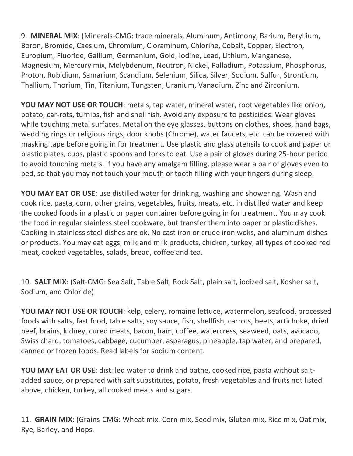9. **MINERAL MIX**: (Minerals-CMG: trace minerals, Aluminum, Antimony, Barium, Beryllium, Boron, Bromide, Caesium, Chromium, Cloraminum, Chlorine, Cobalt, Copper, Electron, Europium, Fluoride, Gallium, Germanium, Gold, Iodine, Lead, Lithium, Manganese, Magnesium, Mercury mix, Molybdenum, Neutron, Nickel, Palladium, Potassium, Phosphorus, Proton, Rubidium, Samarium, Scandium, Selenium, Silica, Silver, Sodium, Sulfur, Strontium, Thallium, Thorium, Tin, Titanium, Tungsten, Uranium, Vanadium, Zinc and Zirconium.

**YOU MAY NOT USE OR TOUCH:** metals, tap water, mineral water, root vegetables like onion, potato, car-rots, turnips, fish and shell fish. Avoid any exposure to pesticides. Wear gloves while touching metal surfaces. Metal on the eye glasses, buttons on clothes, shoes, hand bags, wedding rings or religious rings, door knobs (Chrome), water faucets, etc. can be covered with masking tape before going in for treatment. Use plastic and glass utensils to cook and paper or plastic plates, cups, plastic spoons and forks to eat. Use a pair of gloves during 25-hour period to avoid touching metals. If you have any amalgam filling, please wear a pair of gloves even to bed, so that you may not touch your mouth or tooth filling with your fingers during sleep.

**YOU MAY EAT OR USE:** use distilled water for drinking, washing and showering. Wash and cook rice, pasta, corn, other grains, vegetables, fruits, meats, etc. in distilled water and keep the cooked foods in a plastic or paper container before going in for treatment. You may cook the food in regular stainless steel cookware, but transfer them into paper or plastic dishes. Cooking in stainless steel dishes are ok. No cast iron or crude iron woks, and aluminum dishes or products. You may eat eggs, milk and milk products, chicken, turkey, all types of cooked red meat, cooked vegetables, salads, bread, coffee and tea.

10. **SALT MIX**: (Salt-CMG: Sea Salt, Table Salt, Rock Salt, plain salt, iodized salt, Kosher salt, Sodium, and Chloride)

**YOU MAY NOT USE OR TOUCH:** kelp, celery, romaine lettuce, watermelon, seafood, processed foods with salts, fast food, table salts, soy sauce, fish, shellfish, carrots, beets, artichoke, dried beef, brains, kidney, cured meats, bacon, ham, coffee, watercress, seaweed, oats, avocado, Swiss chard, tomatoes, cabbage, cucumber, asparagus, pineapple, tap water, and prepared, canned or frozen foods. Read labels for sodium content.

**YOU MAY EAT OR USE:** distilled water to drink and bathe, cooked rice, pasta without saltadded sauce, or prepared with salt substitutes, potato, fresh vegetables and fruits not listed above, chicken, turkey, all cooked meats and sugars.

11. **GRAIN MIX**: (Grains-CMG: Wheat mix, Corn mix, Seed mix, Gluten mix, Rice mix, Oat mix, Rye, Barley, and Hops.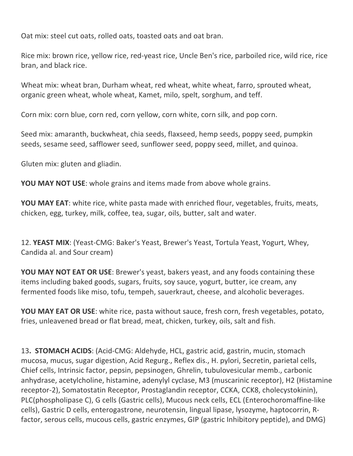Oat mix: steel cut oats, rolled oats, toasted oats and oat bran.

Rice mix: brown rice, yellow rice, red-yeast rice, Uncle Ben's rice, parboiled rice, wild rice, rice bran, and black rice.

Wheat mix: wheat bran, Durham wheat, red wheat, white wheat, farro, sprouted wheat, organic green wheat, whole wheat, Kamet, milo, spelt, sorghum, and teff.

Corn mix: corn blue, corn red, corn yellow, corn white, corn silk, and pop corn.

Seed mix: amaranth, buckwheat, chia seeds, flaxseed, hemp seeds, poppy seed, pumpkin seeds, sesame seed, safflower seed, sunflower seed, poppy seed, millet, and quinoa.

Gluten mix: gluten and gliadin.

**YOU MAY NOT USE:** whole grains and items made from above whole grains.

**YOU MAY EAT:** white rice, white pasta made with enriched flour, vegetables, fruits, meats, chicken, egg, turkey, milk, coffee, tea, sugar, oils, butter, salt and water.

12. YEAST MIX: (Yeast-CMG: Baker's Yeast, Brewer's Yeast, Tortula Yeast, Yogurt, Whey, Candida al. and Sour cream)

**YOU MAY NOT EAT OR USE:** Brewer's yeast, bakers yeast, and any foods containing these items including baked goods, sugars, fruits, soy sauce, yogurt, butter, ice cream, any fermented foods like miso, tofu, tempeh, sauerkraut, cheese, and alcoholic beverages.

**YOU MAY EAT OR USE:** white rice, pasta without sauce, fresh corn, fresh vegetables, potato, fries, unleavened bread or flat bread, meat, chicken, turkey, oils, salt and fish.

13. STOMACH ACIDS: (Acid-CMG: Aldehyde, HCL, gastric acid, gastrin, mucin, stomach mucosa, mucus, sugar digestion, Acid Regurg., Reflex dis., H. pylori, Secretin, parietal cells, Chief cells, Intrinsic factor, pepsin, pepsinogen, Ghrelin, tubulovesicular memb., carbonic anhydrase, acetylcholine, histamine, adenylyl cyclase, M3 (muscarinic receptor), H2 (Histamine receptor-2), Somatostatin Receptor, Prostaglandin receptor, CCKA, CCK8, cholecystokinin), PLC(phospholipase C), G cells (Gastric cells), Mucous neck cells, ECL (Enterochoromaffine-like cells), Gastric D cells, enterogastrone, neurotensin, lingual lipase, lysozyme, haptocorrin, Rfactor, serous cells, mucous cells, gastric enzymes, GIP (gastric Inhibitory peptide), and DMG)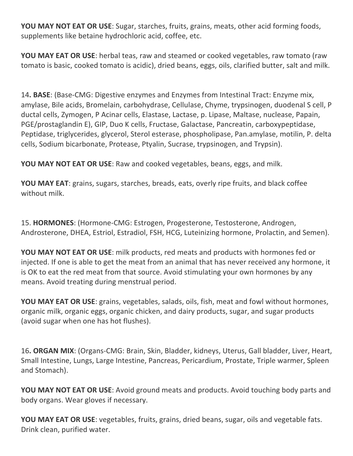**YOU MAY NOT EAT OR USE:** Sugar, starches, fruits, grains, meats, other acid forming foods, supplements like betaine hydrochloric acid, coffee, etc.

**YOU MAY EAT OR USE:** herbal teas, raw and steamed or cooked vegetables, raw tomato (raw tomato is basic, cooked tomato is acidic), dried beans, eggs, oils, clarified butter, salt and milk.

14. BASE: (Base-CMG: Digestive enzymes and Enzymes from Intestinal Tract: Enzyme mix, amylase, Bile acids, Bromelain, carbohydrase, Cellulase, Chyme, trypsinogen, duodenal S cell, P ductal cells, Zymogen, P Acinar cells, Elastase, Lactase, p. Lipase, Maltase, nuclease, Papain, PGE/prostaglandin E), GIP, Duo K cells, Fructase, Galactase, Pancreatin, carboxypeptidase, Peptidase, triglycerides, glycerol, Sterol esterase, phospholipase, Pan.amylase, motilin, P. delta cells, Sodium bicarbonate, Protease, Ptyalin, Sucrase, trypsinogen, and Trypsin).

**YOU MAY NOT EAT OR USE:** Raw and cooked vegetables, beans, eggs, and milk.

**YOU MAY EAT:** grains, sugars, starches, breads, eats, overly ripe fruits, and black coffee without milk.

15. HORMONES: (Hormone-CMG: Estrogen, Progesterone, Testosterone, Androgen, Androsterone, DHEA, Estriol, Estradiol, FSH, HCG, Luteinizing hormone, Prolactin, and Semen).

**YOU MAY NOT EAT OR USE:** milk products, red meats and products with hormones fed or injected. If one is able to get the meat from an animal that has never received any hormone, it is OK to eat the red meat from that source. Avoid stimulating your own hormones by any means. Avoid treating during menstrual period.

**YOU MAY EAT OR USE:** grains, vegetables, salads, oils, fish, meat and fowl without hormones, organic milk, organic eggs, organic chicken, and dairy products, sugar, and sugar products (avoid sugar when one has hot flushes).

16. ORGAN MIX: (Organs-CMG: Brain, Skin, Bladder, kidneys, Uterus, Gall bladder, Liver, Heart, Small Intestine, Lungs, Large Intestine, Pancreas, Pericardium, Prostate, Triple warmer, Spleen and Stomach).

**YOU MAY NOT EAT OR USE:** Avoid ground meats and products. Avoid touching body parts and body organs. Wear gloves if necessary.

**YOU MAY EAT OR USE**: vegetables, fruits, grains, dried beans, sugar, oils and vegetable fats. Drink clean, purified water.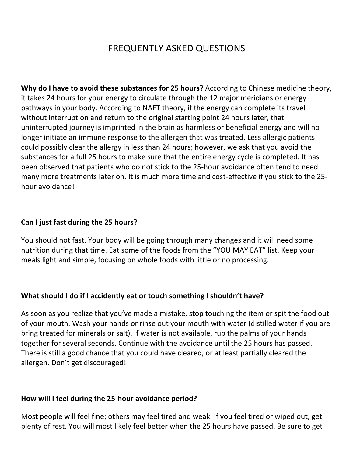# FREQUENTLY ASKED QUESTIONS

**Why do I have to avoid these substances for 25 hours?** According to Chinese medicine theory, it takes 24 hours for your energy to circulate through the 12 major meridians or energy pathways in your body. According to NAET theory, if the energy can complete its travel without interruption and return to the original starting point 24 hours later, that uninterrupted journey is imprinted in the brain as harmless or beneficial energy and will no longer initiate an immune response to the allergen that was treated. Less allergic patients could possibly clear the allergy in less than 24 hours; however, we ask that you avoid the substances for a full 25 hours to make sure that the entire energy cycle is completed. It has been observed that patients who do not stick to the 25-hour avoidance often tend to need many more treatments later on. It is much more time and cost-effective if you stick to the 25hour avoidance!

### Can I just fast during the 25 hours?

You should not fast. Your body will be going through many changes and it will need some nutrition during that time. Eat some of the foods from the "YOU MAY EAT" list. Keep your meals light and simple, focusing on whole foods with little or no processing.

### What should I do if I accidently eat or touch something I shouldn't have?

As soon as you realize that you've made a mistake, stop touching the item or spit the food out of your mouth. Wash your hands or rinse out your mouth with water (distilled water if you are bring treated for minerals or salt). If water is not available, rub the palms of your hands together for several seconds. Continue with the avoidance until the 25 hours has passed. There is still a good chance that you could have cleared, or at least partially cleared the allergen. Don't get discouraged!

#### How will I feel during the 25-hour avoidance period?

Most people will feel fine; others may feel tired and weak. If you feel tired or wiped out, get plenty of rest. You will most likely feel better when the 25 hours have passed. Be sure to get